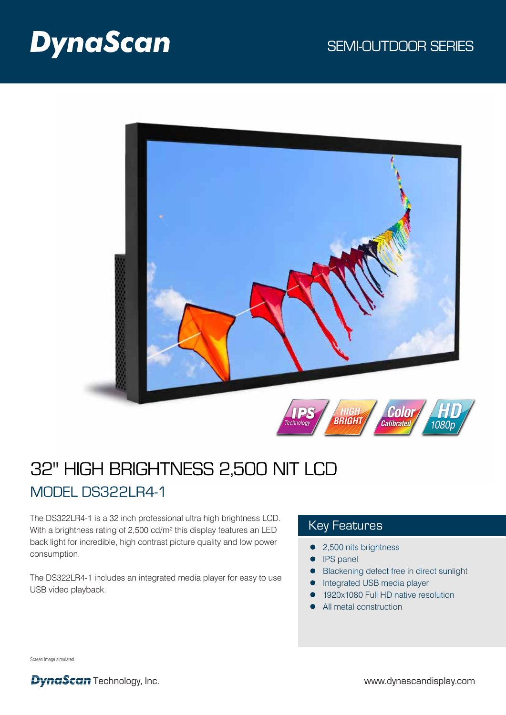# **DynaScan**



## 32" HIGH BRIGHTNESS 2,500 NIT LCD MODEL DS322LR4-1

The DS322LR4-1 is a 32 inch professional ultra high brightness LCD. With a brightness rating of 2,500 cd/m² this display features an LED back light for incredible, high contrast picture quality and low power consumption.

The DS322LR4-1 includes an integrated media player for easy to use USB video playback.

## Key Features

- 2,500 nits brightness
- IPS panel
- **•** Blackening defect free in direct sunlight
- **•** Integrated USB media player
- 1920x1080 Full HD native resolution  $\bullet$
- All metal construction

Screen image simulated.

**DynaScan** Technology, Inc. www.dynascandisplay.com